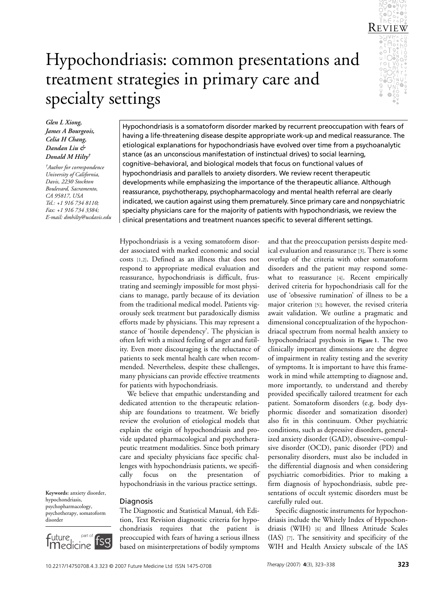

# Hypochondriasis: common presentations and treatment strategies in primary care and specialty settings

*Glen L Xiong, James A Bourgeois, Celia H Chang, Dandan Liu & Donald M Hilty†*

*†Author for correspondence University of California, Davis, 2230 Stockton Boulevard, Sacramento, CA 95817, USA Tel.: +1 916 734 8110; Fax: +1 916 734 3384; E-mail: dmhilty@ucdavis.edu*

**Keywords:** anxiety disorder, hypochondriasis, psychopharmacology, psychotherapy, somatoform disorder



Hypochondriasis is a somatoform disorder marked by recurrent preoccupation with fears of having a life-threatening disease despite appropriate work-up and medical reassurance. The etiological explanations for hypochondriasis have evolved over time from a psychoanalytic stance (as an unconscious manifestation of instinctual drives) to social learning, cognitive–behavioral, and biological models that focus on functional values of hypochondriasis and parallels to anxiety disorders. We review recent therapeutic developments while emphasizing the importance of the therapeutic alliance. Although reassurance, psychotherapy, psychopharmacology and mental health referral are clearly indicated, we caution against using them prematurely. Since primary care and nonpsychiatric specialty physicians care for the majority of patients with hypochondriasis, we review the clinical presentations and treatment nuances specific to several different settings.

Hypochondriasis is a vexing somatoform disorder associated with marked economic and social costs [1,2]. Defined as an illness that does not respond to appropriate medical evaluation and reassurance, hypochondriasis is difficult, frustrating and seemingly impossible for most physicians to manage, partly because of its deviation from the traditional medical model. Patients vigorously seek treatment but paradoxically dismiss efforts made by physicians. This may represent a stance of 'hostile dependency'. The physician is often left with a mixed feeling of anger and futility. Even more discouraging is the reluctance of patients to seek mental health care when recommended. Nevertheless, despite these challenges, many physicians can provide effective treatments for patients with hypochondriasis.

We believe that empathic understanding and dedicated attention to the therapeutic relationship are foundations to treatment. We briefly review the evolution of etiological models that explain the origin of hypochondriasis and provide updated pharmacological and psychotherapeutic treatment modalities. Since both primary care and specialty physicians face specific challenges with hypochondriasis patients, we specifically focus on the presentation of hypochondriasis in the various practice settings.

#### Diagnosis

The Diagnostic and Statistical Manual, 4th Edition, Text Revision diagnostic criteria for hypochondriasis requires that the patient is preoccupied with fears of having a serious illness based on misinterpretations of bodily symptoms

and that the preoccupation persists despite medical evaluation and reassurance [3]. There is some overlap of the criteria with other somatoform disorders and the patient may respond somewhat to reassurance [4]. Recent empirically derived criteria for hypochondriasis call for the use of 'obsessive rumination' of illness to be a major criterion [5]; however, the revised criteria await validation. We outline a pragmatic and dimensional conceptualization of the hypochondriacal spectrum from normal health anxiety to hypochondriacal psychosis in **Figure 1**. The two clinically important dimensions are the degree of impairment in reality testing and the severity of symptoms. It is important to have this framework in mind while attempting to diagnose and, more importantly, to understand and thereby provided specifically tailored treatment for each patient. Somatoform disorders (e.g. body dysphormic disorder and somatization disorder) also fit in this continuum. Other psychiatric conditions, such as depressive disorders, generalized anxiety disorder (GAD), obsessive–compulsive disorder (OCD), panic disorder (PD) and personality disorders, must also be included in the differential diagnosis and when considering psychiatric comorbidities. Prior to making a firm diagnosis of hypochondriasis, subtle presentations of occult systemic disorders must be carefully ruled out.

Specific diagnostic instruments for hypochondriasis include the Whitely Index of Hypochondriasis (WIH) [6] and Illness Attitude Scales (IAS) [7]. The sensitivity and specificity of the WIH and Health Anxiety subscale of the IAS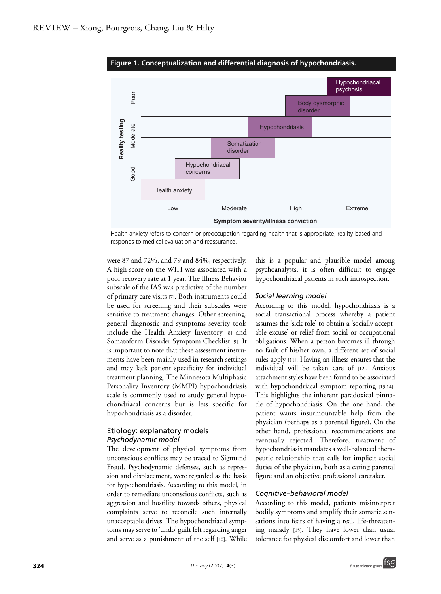

were 87 and 72%, and 79 and 84%, respectively. A high score on the WIH was associated with a poor recovery rate at 1 year. The Illness Behavior subscale of the IAS was predictive of the number of primary care visits [7]. Both instruments could be used for screening and their subscales were sensitive to treatment changes. Other screening, general diagnostic and symptoms severity tools include the Health Anxiety Inventory [8] and Somatoform Disorder Symptom Checklist [9]. It is important to note that these assessment instruments have been mainly used in research settings and may lack patient specificity for individual treatment planning. The Minnesota Multiphasic Personality Inventory (MMPI) hypochondriasis scale is commonly used to study general hypochondriacal concerns but is less specific for hypochondriasis as a disorder.

## Etiology: explanatory models *Psychodynamic model*

The development of physical symptoms from unconscious conflicts may be traced to Sigmund Freud. Psychodynamic defenses, such as repression and displacement, were regarded as the basis for hypochondriasis. According to this model, in order to remediate unconscious conflicts, such as aggression and hostility towards others, physical complaints serve to reconcile such internally unacceptable drives. The hypochondriacal symptoms may serve to 'undo' guilt felt regarding anger and serve as a punishment of the self [10]. While

this is a popular and plausible model among psychoanalysts, it is often difficult to engage hypochondriacal patients in such introspection.

## *Social learning model*

According to this model, hypochondriasis is a social transactional process whereby a patient assumes the 'sick role' to obtain a 'socially acceptable excuse' or relief from social or occupational obligations. When a person becomes ill through no fault of his/her own, a different set of social rules apply [11]. Having an illness ensures that the individual will be taken care of [12]. Anxious attachment styles have been found to be associated with hypochondriacal symptom reporting [13,14]. This highlights the inherent paradoxical pinnacle of hypochondriasis. On the one hand, the patient wants insurmountable help from the physician (perhaps as a parental figure). On the other hand, professional recommendations are eventually rejected. Therefore, treatment of hypochondriasis mandates a well-balanced therapeutic relationship that calls for implicit social duties of the physician, both as a caring parental figure and an objective professional caretaker.

## *Cognitive–behavioral model*

According to this model, patients misinterpret bodily symptoms and amplify their somatic sensations into fears of having a real, life-threatening malady [15]. They have lower than usual tolerance for physical discomfort and lower than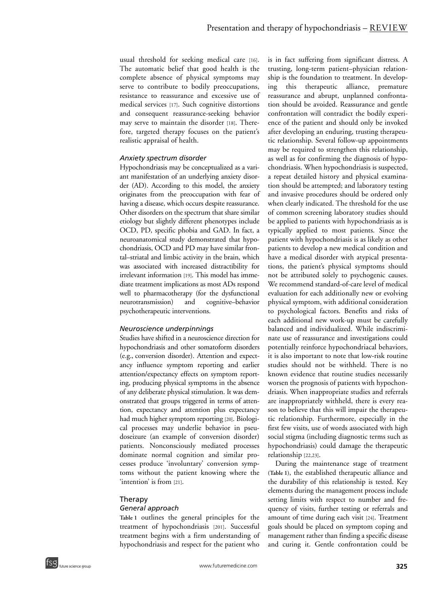usual threshold for seeking medical care [16]. The automatic belief that good health is the complete absence of physical symptoms may serve to contribute to bodily preoccupations, resistance to reassurance and excessive use of medical services [17]. Such cognitive distortions and consequent reassurance-seeking behavior may serve to maintain the disorder [18]. Therefore, targeted therapy focuses on the patient's realistic appraisal of health.

## *Anxiety spectrum disorder*

Hypochondriasis may be conceptualized as a variant manifestation of an underlying anxiety disorder (AD). According to this model, the anxiety originates from the preoccupation with fear of having a disease, which occurs despite reassurance. Other disorders on the spectrum that share similar etiology but slightly different phenotypes include OCD, PD, specific phobia and GAD. In fact, a neuroanatomical study demonstrated that hypochondriasis, OCD and PD may have similar frontal–striatal and limbic activity in the brain, which was associated with increased distractibility for irrelevant information [19]. This model has immediate treatment implications as most ADs respond well to pharmacotherapy (for the dysfunctional neurotransmission) and cognitive–behavior psychotherapeutic interventions.

## *Neuroscience underpinnings*

Studies have shifted in a neuroscience direction for hypochondriasis and other somatoform disorders (e.g., conversion disorder). Attention and expectancy influence symptom reporting and earlier attention/expectancy effects on symptom reporting, producing physical symptoms in the absence of any deliberate physical stimulation. It was demonstrated that groups triggered in terms of attention, expectancy and attention plus expectancy had much higher symptom reporting [20]. Biological processes may underlie behavior in pseudoseizure (an example of conversion disorder) patients. Nonconsciously mediated processes dominate normal cognition and similar processes produce 'involuntary' conversion symptoms without the patient knowing where the 'intention' is from [21].

# Therapy

## *General approach*

**Table 1** outlines the general principles for the treatment of hypochondriasis [201]. Successful treatment begins with a firm understanding of hypochondriasis and respect for the patient who

is in fact suffering from significant distress. A trusting, long-term patient–physician relationship is the foundation to treatment. In developing this therapeutic alliance, premature reassurance and abrupt, unplanned confrontation should be avoided. Reassurance and gentle confrontation will contradict the bodily experience of the patient and should only be invoked after developing an enduring, trusting therapeutic relationship. Several follow-up appointments may be required to strengthen this relationship, as well as for confirming the diagnosis of hypochondriasis. When hypochondriasis is suspected, a repeat detailed history and physical examination should be attempted; and laboratory testing and invasive procedures should be ordered only when clearly indicated. The threshold for the use of common screening laboratory studies should be applied to patients with hypochondriasis as is typically applied to most patients. Since the patient with hypochondriasis is as likely as other patients to develop a new medical condition and have a medical disorder with atypical presentations, the patient's physical symptoms should not be attributed solely to psychogenic causes. We recommend standard-of-care level of medical evaluation for each additionally new or evolving physical symptom, with additional consideration to psychological factors. Benefits and risks of each additional new work-up must be carefully balanced and individualized. While indiscriminate use of reassurance and investigations could potentially reinforce hypochondriacal behaviors, it is also important to note that low-risk routine studies should not be withheld. There is no known evidence that routine studies necessarily worsen the prognosis of patients with hypochondriasis. When inappropriate studies and referrals are inappropriately withheld, there is every reason to believe that this will impair the therapeutic relationship. Furthermore, especially in the first few visits, use of words associated with high social stigma (including diagnostic terms such as hypochondriasis) could damage the therapeutic relationship [22,23].

During the maintenance stage of treatment **(Table 1)**, the established therapeutic alliance and the durability of this relationship is tested. Key elements during the management process include setting limits with respect to number and frequency of visits, further testing or referrals and amount of time during each visit [24]. Treatment goals should be placed on symptom coping and management rather than finding a specific disease and curing it. Gentle confrontation could be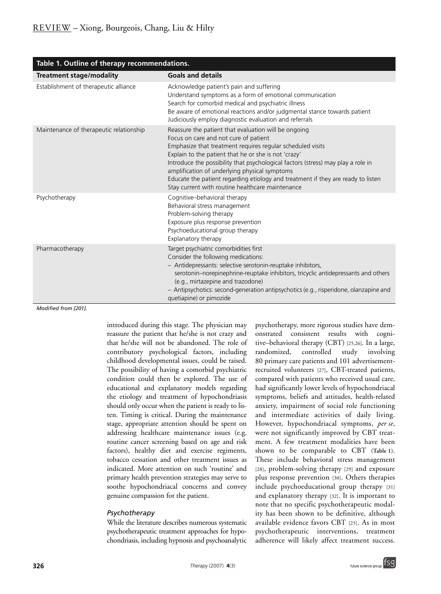| Table 1. Outline of therapy recommendations. |                                                                                                                                                                                                                                                                                                                                                                                                                                                                                                  |
|----------------------------------------------|--------------------------------------------------------------------------------------------------------------------------------------------------------------------------------------------------------------------------------------------------------------------------------------------------------------------------------------------------------------------------------------------------------------------------------------------------------------------------------------------------|
| <b>Treatment stage/modality</b>              | <b>Goals and details</b>                                                                                                                                                                                                                                                                                                                                                                                                                                                                         |
| Establishment of therapeutic alliance        | Acknowledge patient's pain and suffering<br>Understand symptoms as a form of emotional communication<br>Search for comorbid medical and psychiatric illness<br>Be aware of emotional reactions and/or judgmental stance towards patient<br>Judiciously employ diagnostic evaluation and referrals                                                                                                                                                                                                |
| Maintenance of therapeutic relationship      | Reassure the patient that evaluation will be ongoing<br>Focus on care and not cure of patient<br>Emphasize that treatment requires regular scheduled visits<br>Explain to the patient that he or she is not 'crazy'<br>Introduce the possibility that psychological factors (stress) may play a role in<br>amplification of underlying physical symptoms<br>Educate the patient regarding etiology and treatment if they are ready to listen<br>Stay current with routine healthcare maintenance |
| Psychotherapy                                | Cognitive-behavioral therapy<br>Behavioral stress management<br>Problem-solving therapy<br>Exposure plus response prevention<br>Psychoeducational group therapy<br>Explanatory therapy                                                                                                                                                                                                                                                                                                           |
| Pharmacotherapy                              | Target psychiatric comorbidities first<br>Consider the following medications:<br>- Antidepressants: selective serotonin-reuptake inhibitors,<br>serotonin-norepinephrine-reuptake inhibitors, tricyclic antidepressants and others<br>(e.g., mirtazepine and trazodone)<br>- Antipsychotics: second-generation antipsychotics (e.g., risperidone, olanzapine and<br>quetiapine) or pimozide                                                                                                      |

*Modified from [201].*

introduced during this stage. The physician may reassure the patient that he/she is not crazy and that he/she will not be abandoned. The role of contributory psychological factors, including childhood developmental issues, could be raised. The possibility of having a comorbid psychiatric condition could then be explored. The use of educational and explanatory models regarding the etiology and treatment of hypochondriasis should only occur when the patient is ready to listen. Timing is critical. During the maintenance stage, appropriate attention should be spent on addressing healthcare maintenance issues (e.g. routine cancer screening based on age and risk factors), healthy diet and exercise regiments, tobacco cessation and other treatment issues as indicated. More attention on such 'routine' and primary health prevention strategies may serve to soothe hypochondriacal concerns and convey genuine compassion for the patient.

## *Psychotherapy*

While the literature describes numerous systematic psychotherapeutic treatment approaches for hypochondriasis, including hypnosis and psychoanalytic

psychotherapy, more rigorous studies have demonstrated consistent results with cognitive–behavioral therapy (CBT) [25,26]. In a large, randomized, controlled study involving 80 primary care patients and 101 advertisementrecruited volunteers [27], CBT-treated patients, compared with patients who received usual care, had significantly lower levels of hypochondriacal symptoms, beliefs and attitudes, health-related anxiety, impairment of social role functioning and intermediate activities of daily living. However, hypochondriacal symptoms, *per se*, were not significantly improved by CBT treatment. A few treatment modalities have been shown to be comparable to CBT **(Table 1)**. These include behavioral stress management [28], problem-solving therapy [29] and exposure plus response prevention [30]. Others therapies include psychoeducational group therapy [31] and explanatory therapy [32]. It is important to note that no specific psychotherapeutic modality has been shown to be definitive, although available evidence favors CBT [25]. As in most psychotherapeutic interventions, treatment adherence will likely affect treatment success.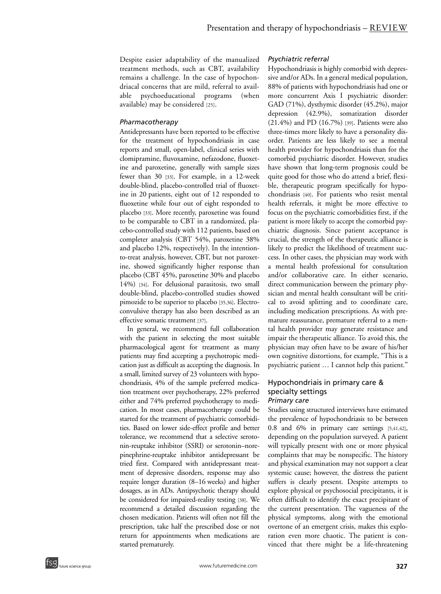Despite easier adaptability of the manualized treatment methods, such as CBT, availability remains a challenge. In the case of hypochondriacal concerns that are mild, referral to available psychoeducational programs (when available) may be considered [25].

## *Pharmacotherapy*

Antidepressants have been reported to be effective for the treatment of hypochondriasis in case reports and small, open-label, clinical series with clomipramine, fluvoxamine, nefazodone, fluoxetine and paroxetine, generally with sample sizes fewer than 30 [33]. For example, in a 12-week double-blind, placebo-controlled trial of fluoxetine in 20 patients, eight out of 12 responded to fluoxetine while four out of eight responded to placebo [33]. More recently, paroxetine was found to be comparable to CBT in a randomized, placebo-controlled study with 112 patients, based on completer analysis (CBT 54%, paroxetine 38% and placebo 12%, respectively). In the intentionto-treat analysis, however, CBT, but not paroxetine, showed significantly higher response than placebo (CBT 45%, paroxetine 30% and placebo 14%) [34]. For delusional parasitosis, two small double-blind, placebo-controlled studies showed pimozide to be superior to placebo [35,36]. Electroconvulsive therapy has also been described as an effective somatic treatment [37].

In general, we recommend full collaboration with the patient in selecting the most suitable pharmacological agent for treatment as many patients may find accepting a psychotropic medication just as difficult as accepting the diagnosis. In a small, limited survey of 23 volunteers with hypochondriasis, 4% of the sample preferred medication treatment over psychotherapy, 22% preferred either and 74% preferred psychotherapy to medication. In most cases, pharmacotherapy could be started for the treatment of psychiatric comorbidities. Based on lower side-effect profile and better tolerance, we recommend that a selective serotonin-reuptake inhibitor (SSRI) or serotonin–norepinephrine-reuptake inhibitor antidepressant be tried first. Compared with antidepressant treatment of depressive disorders, response may also require longer duration (8–16 weeks) and higher dosages, as in ADs. Antipsychotic therapy should be considered for impaired-reality testing [38]. We recommend a detailed discussion regarding the chosen medication. Patients will often not fill the prescription, take half the prescribed dose or not return for appointments when medications are started prematurely.

# *Psychiatric referral*

Hypochondriasis is highly comorbid with depressive and/or ADs. In a general medical population, 88% of patients with hypochondriasis had one or more concurrent Axis I psychiatric disorder: GAD (71%), dysthymic disorder (45.2%), major depression (42.9%), somatization disorder (21.4%) and PD (16.7%) [39]. Patients were also three-times more likely to have a personality disorder. Patients are less likely to see a mental health provider for hypochondriasis than for the comorbid psychiatric disorder. However, studies have shown that long-term prognosis could be quite good for those who do attend a brief, flexible, therapeutic program specifically for hypochondriasis [40]. For patients who resist mental health referrals, it might be more effective to focus on the psychiatric comorbidities first, if the patient is more likely to accept the comorbid psychiatric diagnosis. Since patient acceptance is crucial, the strength of the therapeutic alliance is likely to predict the likelihood of treatment success. In other cases, the physician may work with a mental health professional for consultation and/or collaborative care. In either scenario, direct communication between the primary physician and mental health consultant will be critical to avoid splitting and to coordinate care, including medication prescriptions. As with premature reassurance, premature referral to a mental health provider may generate resistance and impair the therapeutic alliance. To avoid this, the physician may often have to be aware of his/her own cognitive distortions, for example, "This is a psychiatric patient … I cannot help this patient."

# Hypochondriais in primary care & specialty settings *Primary care*

Studies using structured interviews have estimated the prevalence of hypochondriasis to be between 0.8 and 6% in primary care settings [5,41,42], depending on the population surveyed. A patient will typically present with one or more physical complaints that may be nonspecific. The history and physical examination may not support a clear systemic cause; however, the distress the patient suffers is clearly present. Despite attempts to explore physical or psychosocial precipitants, it is often difficult to identify the exact precipitant of the current presentation. The vagueness of the physical symptoms, along with the emotional overtone of an emergent crisis, makes this exploration even more chaotic. The patient is convinced that there might be a life-threatening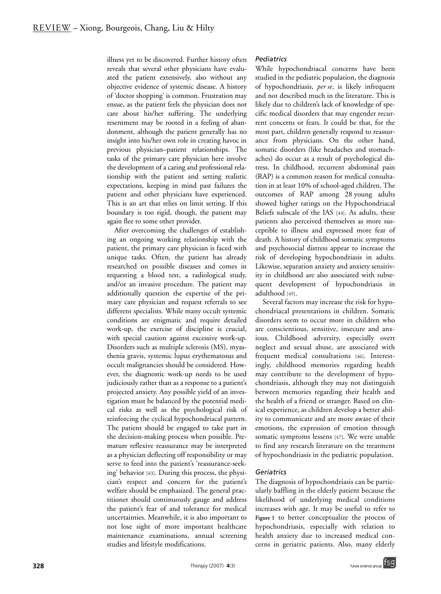illness yet to be discovered. Further history often reveals that several other physicians have evaluated the patient extensively, also without any objective evidence of systemic disease. A history of 'doctor shopping' is common. Frustration may ensue, as the patient feels the physician does not care about his/her suffering. The underlying resentment may be rooted in a feeling of abandonment, although the patient generally has no insight into his/her own role in creating havoc in previous physician–patient relationships. The tasks of the primary care physician here involve the development of a caring and professional relationship with the patient and setting realistic expectations, keeping in mind past failures the patient and other physicians have experienced. This is an art that relies on limit setting. If this boundary is too rigid, though, the patient may again flee to some other provider.

After overcoming the challenges of establishing an ongoing working relationship with the patient, the primary care physician is faced with unique tasks. Often, the patient has already researched on possible diseases and comes in requesting a blood test, a radiological study, and/or an invasive procedure. The patient may additionally question the expertise of the primary care physician and request referrals to see different specialists. While many occult systemic conditions are enigmatic and require detailed work-up, the exercise of discipline is crucial, with special caution against excessive work-up. Disorders such as multiple sclerosis (MS), myasthenia gravis, systemic lupus erythematosus and occult malignancies should be considered. However, the diagnostic work-up needs to be used judiciously rather than as a response to a patient's projected anxiety. Any possible yield of an investigation must be balanced by the potential medical risks as well as the psychological risk of reinforcing the cyclical hypochondriacal pattern. The patient should be engaged to take part in the decision-making process when possible. Premature reflexive reassurance may be interpreted as a physician deflecting off responsibility or may serve to feed into the patient's 'reassurance-seeking' behavior [43]. During this process, the physician's respect and concern for the patient's welfare should be emphasized. The general practitioner should continuously gauge and address the patient's fear of and tolerance for medical uncertainties. Meanwhile, it is also important to not lose sight of more important healthcare maintenance examinations, annual screening studies and lifestyle modifications.

## *Pediatrics*

While hypochondriacal concerns have been studied in the pediatric population, the diagnosis of hypochondriasis, *per se*, is likely infrequent and not described much in the literature. This is likely due to children's lack of knowledge of specific medical disorders that may engender recurrent concerns or fears. It could be that, for the most part, children generally respond to reassurance from physicians. On the other hand, somatic disorders (like headaches and stomachaches) do occur as a result of psychological distress. In childhood, recurrent abdominal pain (RAP) is a common reason for medical consultation in at least 10% of school-aged children. The outcomes of RAP among 28 young adults showed higher ratings on the Hypochondriacal Beliefs subscale of the IAS [44]. As adults, these patients also perceived themselves as more susceptible to illness and expressed more fear of death. A history of childhood somatic symptoms and psychosocial distress appear to increase the risk of developing hypochondriasis in adults. Likewise, separation anxiety and anxiety sensitivity in childhood are also associated with subsequent development of hypochondriasis in adulthood [45].

Several factors may increase the risk for hypochondriacal presentations in children. Somatic disorders seem to occur more in children who are conscientious, sensitive, insecure and anxious. Childhood adversity, especially overt neglect and sexual abuse, are associated with frequent medical consultations [46]. Interestingly, childhood memories regarding health may contribute to the development of hypochondriasis, although they may not distinguish between memories regarding their health and the health of a friend or stranger. Based on clinical experience, as children develop a better ability to communicate and are more aware of their emotions, the expression of emotion through somatic symptoms lessens [47]. We were unable to find any research literature on the treatment of hypochondriasis in the pediatric population.

## *Geriatrics*

The diagnosis of hypochondriasis can be particularly baffling in the elderly patient because the likelihood of underlying medical conditions increases with age. It may be useful to refer to **Figure 1** to better conceptualize the process of hypochondriasis, especially with relation to health anxiety due to increased medical concerns in geriatric patients. Also, many elderly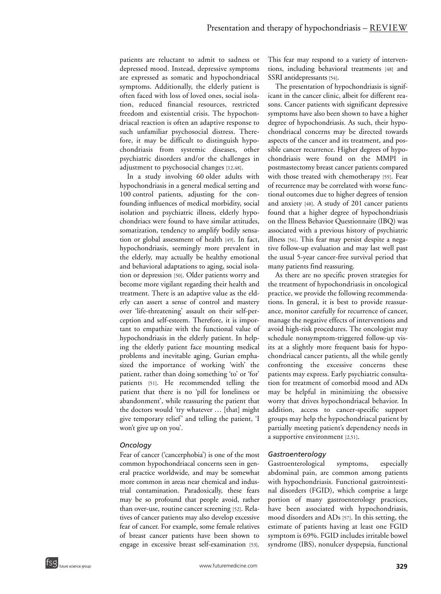patients are reluctant to admit to sadness or depressed mood. Instead, depressive symptoms are expressed as somatic and hypochondriacal symptoms. Additionally, the elderly patient is often faced with loss of loved ones, social isolation, reduced financial resources, restricted freedom and existential crisis. The hypochondriacal reaction is often an adaptive response to such unfamiliar psychosocial distress. Therefore, it may be difficult to distinguish hypochondriasis from systemic diseases, other psychiatric disorders and/or the challenges in adjustment to psychosocial changes [12,48].

In a study involving 60 older adults with hypochondriasis in a general medical setting and 100 control patients, adjusting for the confounding influences of medical morbidity, social isolation and psychiatric illness, elderly hypochondriacs were found to have similar attitudes, somatization, tendency to amplify bodily sensation or global assessment of health [49]. In fact, hypochondriasis, seemingly more prevalent in the elderly, may actually be healthy emotional and behavioral adaptations to aging, social isolation or depression [50]. Older patients worry and become more vigilant regarding their health and treatment. There is an adaptive value as the elderly can assert a sense of control and mastery over 'life-threatening' assault on their self-perception and self-esteem. Therefore, it is important to empathize with the functional value of hypochondriasis in the elderly patient. In helping the elderly patient face mounting medical problems and inevitable aging, Gurian emphasized the importance of working 'with' the patient, rather than doing something 'to' or 'for' patients [51]. He recommended telling the patient that there is no 'pill for loneliness or abandonment', while reassuring the patient that the doctors would 'try whatever … [that] might give temporary relief' and telling the patient, 'I won't give up on you'.

## *Oncology*

Fear of cancer ('cancerphobia') is one of the most common hypochondriacal concerns seen in general practice worldwide, and may be somewhat more common in areas near chemical and industrial contamination. Paradoxically, these fears may be so profound that people avoid, rather than over-use, routine cancer screening [52]. Relatives of cancer patients may also develop excessive fear of cancer. For example, some female relatives of breast cancer patients have been shown to engage in excessive breast self-examination [53].

This fear may respond to a variety of interventions, including behavioral treatments [48] and SSRI antidepressants [54].

The presentation of hypochondriasis is significant in the cancer clinic, albeit for different reasons. Cancer patients with significant depressive symptoms have also been shown to have a higher degree of hypochondriasis. As such, their hypochondriacal concerns may be directed towards aspects of the cancer and its treatment, and possible cancer recurrence. Higher degrees of hypochondriasis were found on the MMPI in postmastectomy breast cancer patients compared with those treated with chemotherapy [55]. Fear of recurrence may be correlated with worse functional outcomes due to higher degrees of tension and anxiety [48]. A study of 201 cancer patients found that a higher degree of hypochondriasis on the Illness Behavior Questionnaire (IBQ) was associated with a previous history of psychiatric illness [56]. This fear may persist despite a negative follow-up evaluation and may last well past the usual 5-year cancer-free survival period that many patients find reassuring.

As there are no specific proven strategies for the treatment of hypochondriasis in oncological practice, we provide the following recommendations. In general, it is best to provide reassurance, monitor carefully for recurrence of cancer, manage the negative effects of interventions and avoid high-risk procedures. The oncologist may schedule nonsymptom-triggered follow-up visits at a slightly more frequent basis for hypochondriacal cancer patients, all the while gently confronting the excessive concerns these patients may express. Early psychiatric consultation for treatment of comorbid mood and ADs may be helpful in minimizing the obsessive worry that drives hypochondriacal behavior. In addition, access to cancer-specific support groups may help the hypochondriacal patient by partially meeting patient's dependency needs in a supportive environment [2,51].

## *Gastroenterology*

Gastroenterological symptoms, especially abdominal pain, are common among patients with hypochondriasis. Functional gastrointestinal disorders (FGID), which comprise a large portion of many gastroenterology practices, have been associated with hypochondriasis, mood disorders and ADs [57]. In this setting, the estimate of patients having at least one FGID symptom is 69%. FGID includes irritable bowel syndrome (IBS), nonulcer dyspepsia, functional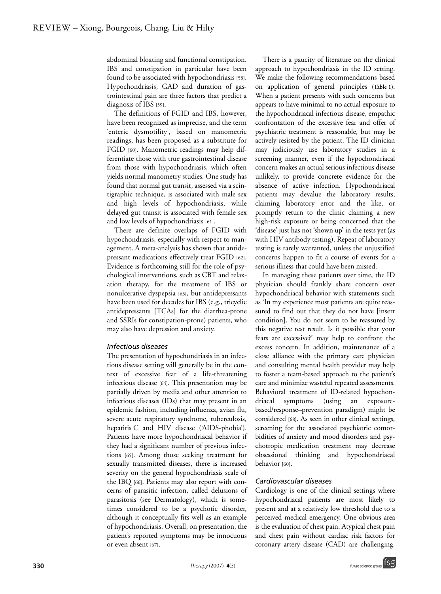abdominal bloating and functional constipation. IBS and constipation in particular have been found to be associated with hypochondriasis [58]. Hypochondriasis, GAD and duration of gastrointestinal pain are three factors that predict a diagnosis of IBS [59].

The definitions of FGID and IBS, however, have been recognized as imprecise, and the term 'enteric dysmotility', based on manometric readings, has been proposed as a substitute for FGID [60]. Manometric readings may help differentiate those with true gastrointestinal disease from those with hypochondriasis, which often yields normal manometry studies. One study has found that normal gut transit, assessed via a scintigraphic technique, is associated with male sex and high levels of hypochondriasis, while delayed gut transit is associated with female sex and low levels of hypochondriasis [61].

There are definite overlaps of FGID with hypochondriasis, especially with respect to management. A meta-analysis has shown that antidepressant medications effectively treat FGID [62]. Evidence is forthcoming still for the role of psychological interventions, such as CBT and relaxation therapy, for the treatment of IBS or nonulcerative dyspepsia [63], but antidepressants have been used for decades for IBS (e.g., tricyclic antidepressants [TCAs] for the diarrhea-prone and SSRIs for constipation-prone) patients, who may also have depression and anxiety.

## *Infectious diseases*

The presentation of hypochondriasis in an infectious disease setting will generally be in the context of excessive fear of a life-threatening infectious disease [64]. This presentation may be partially driven by media and other attention to infectious diseases (IDs) that may present in an epidemic fashion, including influenza, avian flu, severe acute respiratory syndrome, tuberculosis, hepatitis C and HIV disease ('AIDS-phobia'). Patients have more hypochondriacal behavior if they had a significant number of previous infections [65]. Among those seeking treatment for sexually transmitted diseases, there is increased severity on the general hypochondriasis scale of the IBQ [66]. Patients may also report with concerns of parasitic infection, called delusions of parasitosis (see Dermatology), which is sometimes considered to be a psychotic disorder, although it conceptually fits well as an example of hypochondriasis. Overall, on presentation, the patient's reported symptoms may be innocuous or even absent [67].

There is a paucity of literature on the clinical approach to hypochondriasis in the ID setting. We make the following recommendations based on application of general principles **(Table 1)**. When a patient presents with such concerns but appears to have minimal to no actual exposure to the hypochondriacal infectious disease, empathic confrontation of the excessive fear and offer of psychiatric treatment is reasonable, but may be actively resisted by the patient. The ID clinician may judiciously use laboratory studies in a screening manner, even if the hypochondriacal concern makes an actual serious infectious disease unlikely, to provide concrete evidence for the absence of active infection. Hypochondriacal patients may devalue the laboratory results, claiming laboratory error and the like, or promptly return to the clinic claiming a new high-risk exposure or being concerned that the 'disease' just has not 'shown up' in the tests yet (as with HIV antibody testing). Repeat of laboratory testing is rarely warranted, unless the unjustified concerns happen to fit a course of events for a serious illness that could have been missed.

In managing these patients over time, the ID physician should frankly share concern over hypochondriacal behavior with statements such as 'In my experience most patients are quite reassured to find out that they do not have [insert condition]. You do not seem to be reassured by this negative test result. Is it possible that your fears are excessive?' may help to confront the excess concern. In addition, maintenance of a close alliance with the primary care physician and consulting mental health provider may help to foster a team-based approach to the patient's care and minimize wasteful repeated assessments. Behavioral treatment of ID-related hypochondriacal symptoms (using an exposurebased/response–prevention paradigm) might be considered [68]. As seen in other clinical settings, screening for the associated psychiatric comorbidities of anxiety and mood disorders and psychotropic medication treatment may decrease obsessional thinking and hypochondriacal behavior [60].

## *Cardiovascular diseases*

Cardiology is one of the clinical settings where hypochondriacal patients are most likely to present and at a relatively low threshold due to a perceived medical emergency. One obvious area is the evaluation of chest pain. Atypical chest pain and chest pain without cardiac risk factors for coronary artery disease (CAD) are challenging.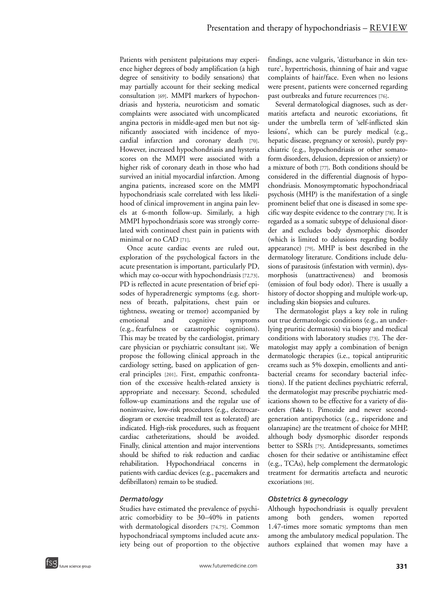Patients with persistent palpitations may experience higher degrees of body amplification (a high degree of sensitivity to bodily sensations) that may partially account for their seeking medical consultation [69]. MMPI markers of hypochondriasis and hysteria, neuroticism and somatic complaints were associated with uncomplicated angina pectoris in middle-aged men but not significantly associated with incidence of myocardial infarction and coronary death [70]. However, increased hypochondriasis and hysteria scores on the MMPI were associated with a higher risk of coronary death in those who had survived an initial myocardial infarction. Among angina patients, increased score on the MMPI hypochondriasis scale correlated with less likelihood of clinical improvement in angina pain levels at 6-month follow-up. Similarly, a high MMPI hypochondriasis score was strongly correlated with continued chest pain in patients with minimal or no CAD [71].

Once acute cardiac events are ruled out, exploration of the psychological factors in the acute presentation is important, particularly PD, which may co-occur with hypochondriasis [72,73]. PD is reflected in acute presentation of brief episodes of hyperadrenergic symptoms (e.g. shortness of breath, palpitations, chest pain or tightness, sweating or tremor) accompanied by emotional and cognitive symptoms (e.g., fearfulness or catastrophic cognitions). This may be treated by the cardiologist, primary care physician or psychiatric consultant [68]. We propose the following clinical approach in the cardiology setting, based on application of general principles [201]. First, empathic confrontation of the excessive health-related anxiety is appropriate and necessary. Second, scheduled follow-up examinations and the regular use of noninvasive, low-risk procedures (e.g., electrocardiogram or exercise treadmill test as tolerated) are indicated. High-risk procedures, such as frequent cardiac catheterizations, should be avoided. Finally, clinical attention and major interventions should be shifted to risk reduction and cardiac rehabilitation. Hypochondriacal concerns in patients with cardiac devices (e.g., pacemakers and defibrillators) remain to be studied.

## *Dermatology*

Studies have estimated the prevalence of psychiatric comorbidity to be 30–40% in patients with dermatological disorders [74,75]. Common hypochondriacal symptoms included acute anxiety being out of proportion to the objective

findings, acne vulgaris, 'disturbance in skin texture', hypertrichosis, thinning of hair and vague complaints of hair/face. Even when no lesions were present, patients were concerned regarding past outbreaks and future recurrences [76].

Several dermatological diagnoses, such as dermatitis artefacta and neurotic excoriations, fit under the umbrella term of 'self-inflicted skin lesions', which can be purely medical (e.g., hepatic disease, pregnancy or xerosis), purely psychiatric (e.g., hypochondriasis or other somatoform disorders, delusion, depression or anxiety) or a mixture of both [77]. Both conditions should be considered in the differential diagnosis of hypochondriasis. Monosymptomatic hypochondriacal psychosis (MHP) is the manifestation of a single prominent belief that one is diseased in some specific way despite evidence to the contrary [78]. It is regarded as a somatic subtype of delusional disorder and excludes body dysmorphic disorder (which is limited to delusions regarding bodily appearance) [79]. MHP is best described in the dermatology literature. Conditions include delusions of parasitosis (infestation with vermin), dysmorphosis (unattractiveness) and bromosis (emission of foul body odor). There is usually a history of doctor shopping and multiple work-up, including skin biopsies and cultures.

The dermatologist plays a key role in ruling out true dermatologic conditions (e.g., an underlying pruritic dermatosis) via biopsy and medical conditions with laboratory studies [73]. The dermatologist may apply a combination of benign dermatologic therapies (i.e., topical antipruritic creams such as 5% doxepin, emollients and antibacterial creams for secondary bacterial infections). If the patient declines psychiatric referral, the dermatologist may prescribe psychiatric medications shown to be effective for a variety of disorders **(Table 1)**. Pimozide and newer secondgeneration antipsychotics (e.g., risperidone and olanzapine) are the treatment of choice for MHP, although body dysmorphic disorder responds better to SSRIs [75]. Antidepressants, sometimes chosen for their sedative or antihistamine effect (e.g., TCAs), help complement the dermatologic treatment for dermatitis artefacta and neurotic excoriations [80].

## *Obstetrics & gynecology*

Although hypochondriasis is equally prevalent among both genders, women reported 1.47-times more somatic symptoms than men among the ambulatory medical population. The authors explained that women may have a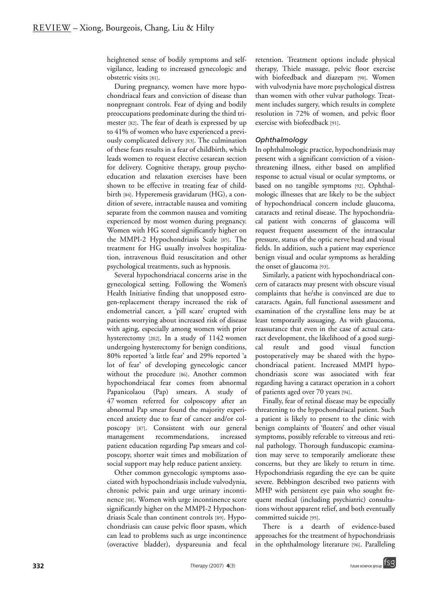heightened sense of bodily symptoms and selfvigilance, leading to increased gynecologic and obstetric visits [81].

During pregnancy, women have more hypochondriacal fears and conviction of disease than nonpregnant controls. Fear of dying and bodily preoccupations predominate during the third trimester [82]. The fear of death is expressed by up to 41% of women who have experienced a previously complicated delivery [83]. The culmination of these fears results in a fear of childbirth, which leads women to request elective cesarean section for delivery. Cognitive therapy, group psychoeducation and relaxation exercises have been shown to be effective in treating fear of childbirth [84]. Hyperemesis gravidarum (HG), a condition of severe, intractable nausea and vomiting separate from the common nausea and vomiting experienced by most women during pregnancy. Women with HG scored significantly higher on the MMPI-2 Hypochondriasis Scale [85]. The treatment for HG usually involves hospitalization, intravenous fluid resuscitation and other psychological treatments, such as hypnosis.

Several hypochondriacal concerns arise in the gynecological setting. Following the Women's Health Initiative finding that unopposed estrogen-replacement therapy increased the risk of endometrial cancer, a 'pill scare' erupted with patients worrying about increased risk of disease with aging, especially among women with prior hysterectomy [202]. In a study of 1142 women undergoing hysterectomy for benign conditions, 80% reported 'a little fear' and 29% reported 'a lot of fear' of developing gynecologic cancer without the procedure [86]. Another common hypochondriacal fear comes from abnormal Papanicolaou (Pap) smears. A study of 47 women referred for colposcopy after an abnormal Pap smear found the majority experienced anxiety due to fear of cancer and/or colposcopy [87]. Consistent with our general management recommendations, increased patient education regarding Pap smears and colposcopy, shorter wait times and mobilization of social support may help reduce patient anxiety.

Other common gynecologic symptoms associated with hypochondriasis include vulvodynia, chronic pelvic pain and urge urinary incontinence [88]. Women with urge incontinence score significantly higher on the MMPI-2 Hypochondriasis Scale than continent controls [89]. Hypochondriasis can cause pelvic floor spasm, which can lead to problems such as urge incontinence (overactive bladder), dyspareunia and fecal

retention. Treatment options include physical therapy, Thiele massage, pelvic floor exercise with biofeedback and diazepam [90]. Women with vulvodynia have more psychological distress than women with other vulvar pathology. Treatment includes surgery, which results in complete resolution in 72% of women, and pelvic floor exercise with biofeedback [91].

#### *Ophthalmology*

In ophthalmologic practice, hypochondriasis may present with a significant conviction of a visionthreatening illness, either based on amplified response to actual visual or ocular symptoms, or based on no tangible symptoms [92]. Ophthalmologic illnesses that are likely to be the subject of hypochondriacal concern include glaucoma, cataracts and retinal disease. The hypochondriacal patient with concerns of glaucoma will request frequent assessment of the intraocular pressure, status of the optic nerve head and visual fields. In addition, such a patient may experience benign visual and ocular symptoms as heralding the onset of glaucoma [93].

Similarly, a patient with hypochondriacal concern of cataracts may present with obscure visual complaints that he/she is convinced are due to cataracts. Again, full functional assessment and examination of the crystalline lens may be at least temporarily assuaging. As with glaucoma, reassurance that even in the case of actual cataract development, the likelihood of a good surgical result and good visual function postoperatively may be shared with the hypochondriacal patient. Increased MMPI hypochondriasis score was associated with fear regarding having a cataract operation in a cohort of patients aged over 70 years [94].

Finally, fear of retinal disease may be especially threatening to the hypochondriacal patient. Such a patient is likely to present to the clinic with benign complaints of 'floaters' and other visual symptoms, possibly referable to vitreous and retinal pathology. Thorough funduscopic examination may serve to temporarily ameliorate these concerns, but they are likely to return in time. Hypochondriasis regarding the eye can be quite severe. Bebbington described two patients with MHP with persistent eye pain who sought frequent medical (including psychiatric) consultations without apparent relief, and both eventually committed suicide [95].

There is a dearth of evidence-based approaches for the treatment of hypochondriasis in the ophthalmology literature [96]. Paralleling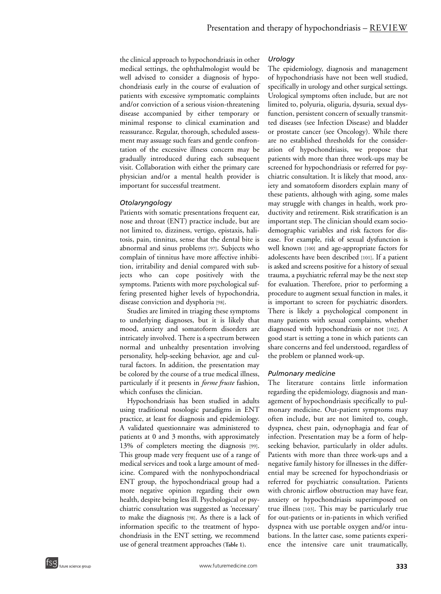the clinical approach to hypochondriasis in other medical settings, the ophthalmologist would be well advised to consider a diagnosis of hypochondriasis early in the course of evaluation of patients with excessive symptomatic complaints and/or conviction of a serious vision-threatening disease accompanied by either temporary or minimal response to clinical examination and reassurance. Regular, thorough, scheduled assessment may assuage such fears and gentle confrontation of the excessive illness concern may be gradually introduced during each subsequent visit. Collaboration with either the primary care physician and/or a mental health provider is important for successful treatment.

## *Otolaryngology*

Patients with somatic presentations frequent ear, nose and throat (ENT) practice include, but are not limited to, dizziness, vertigo, epistaxis, halitosis, pain, tinnitus, sense that the dental bite is abnormal and sinus problems [97]. Subjects who complain of tinnitus have more affective inhibition, irritability and denial compared with subjects who can cope positively with the symptoms. Patients with more psychological suffering presented higher levels of hypochondria, disease conviction and dysphoria [98].

Studies are limited in triaging these symptoms to underlying diagnoses, but it is likely that mood, anxiety and somatoform disorders are intricately involved. There is a spectrum between normal and unhealthy presentation involving personality, help-seeking behavior, age and cultural factors. In addition, the presentation may be colored by the course of a true medical illness, particularly if it presents in *forme fruste* fashion, which confuses the clinician.

Hypochondriasis has been studied in adults using traditional nosologic paradigms in ENT practice, at least for diagnosis and epidemiology. A validated questionnaire was administered to patients at 0 and 3 months, with approximately 13% of completers meeting the diagnosis [99]. This group made very frequent use of a range of medical services and took a large amount of medicine. Compared with the nonhypochondriacal ENT group, the hypochondriacal group had a more negative opinion regarding their own health, despite being less ill. Psychological or psychiatric consultation was suggested as 'necessary' to make the diagnosis [98]. As there is a lack of information specific to the treatment of hypochondriasis in the ENT setting, we recommend use of general treatment approaches **(Table 1)**.

#### *Urology*

The epidemiology, diagnosis and management of hypochondriasis have not been well studied, specifically in urology and other surgical settings. Urological symptoms often include, but are not limited to, polyuria, oliguria, dysuria, sexual dysfunction, persistent concern of sexually transmitted diseases (see Infection Disease) and bladder or prostate cancer (see Oncology). While there are no established thresholds for the consideration of hypochondriasis, we propose that patients with more than three work-ups may be screened for hypochondriasis or referred for psychiatric consultation. It is likely that mood, anxiety and somatoform disorders explain many of these patients, although with aging, some males may struggle with changes in health, work productivity and retirement. Risk stratification is an important step. The clinician should exam sociodemographic variables and risk factors for disease. For example, risk of sexual dysfunction is well known [100] and age-appropriate factors for adolescents have been described [101]. If a patient is asked and screens positive for a history of sexual trauma, a psychiatric referral may be the next step for evaluation. Therefore, prior to performing a procedure to augment sexual function in males, it is important to screen for psychiatric disorders. There is likely a psychological component in many patients with sexual complaints, whether diagnosed with hypochondriasis or not [102]. A good start is setting a tone in which patients can share concerns and feel understood, regardless of the problem or planned work-up.

## *Pulmonary medicine*

The literature contains little information regarding the epidemiology, diagnosis and management of hypochondriasis specifically to pulmonary medicine. Out-patient symptoms may often include, but are not limited to, cough, dyspnea, chest pain, odynophagia and fear of infection. Presentation may be a form of helpseeking behavior, particularly in older adults. Patients with more than three work-ups and a negative family history for illnesses in the differential may be screened for hypochondriasis or referred for psychiatric consultation. Patients with chronic airflow obstruction may have fear, anxiety or hypochondriasis superimposed on true illness [103]. This may be particularly true for out-patients or in-patients in which verified dyspnea with use portable oxygen and/or intubations. In the latter case, some patients experience the intensive care unit traumatically,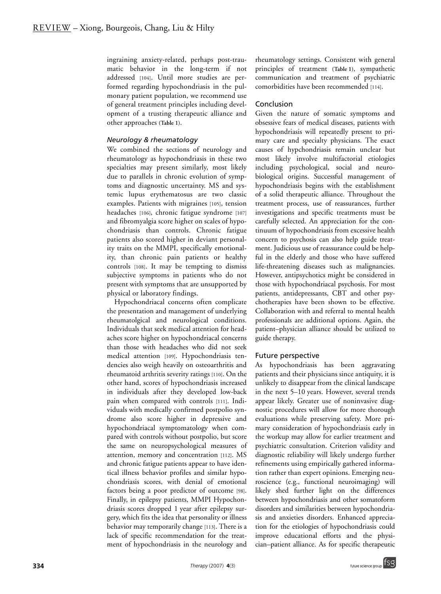ingraining anxiety-related, perhaps post-traumatic behavior in the long-term if not addressed [104]. Until more studies are performed regarding hypochondriasis in the pulmonary patient population, we recommend use of general treatment principles including development of a trusting therapeutic alliance and other approaches **(Table 1)**.

### *Neurology & rheumatology*

We combined the sections of neurology and rheumatology as hypochondriasis in these two specialties may present similarly, most likely due to parallels in chronic evolution of symptoms and diagnostic uncertainty. MS and systemic lupus erythematosus are two classic examples. Patients with migraines [105], tension headaches [106], chronic fatigue syndrome [107] and fibromyalgia score higher on scales of hypochondriasis than controls. Chronic fatigue patients also scored higher in deviant personality traits on the MMPI, specifically emotionality, than chronic pain patients or healthy controls [108]. It may be tempting to dismiss subjective symptoms in patients who do not present with symptoms that are unsupported by physical or laboratory findings.

Hypochondriacal concerns often complicate the presentation and management of underlying rheumatolgical and neurological conditions. Individuals that seek medical attention for headaches score higher on hypochondriacal concerns than those with headaches who did not seek medical attention [109]. Hypochondriasis tendencies also weigh heavily on osteoarthritis and rheumatoid arthritis severity ratings [110]. On the other hand, scores of hypochondriasis increased in individuals after they developed low-back pain when compared with controls [111]. Individuals with medically confirmed postpolio syndrome also score higher in depressive and hypochondriacal symptomatology when compared with controls without postpolio, but score the same on neuropsychological measures of attention, memory and concentration [112]. MS and chronic fatigue patients appear to have identical illness behavior profiles and similar hypochondriasis scores, with denial of emotional factors being a poor predictor of outcome [98]. Finally, in epilepsy patients, MMPI Hypochondriasis scores dropped 1 year after epilepsy surgery, which fits the idea that personality or illness behavior may temporarily change [113]. There is a lack of specific recommendation for the treatment of hypochondriasis in the neurology and

rheumatology settings. Consistent with general principles of treatment **(Table 1)**, sympathetic communication and treatment of psychiatric comorbidities have been recommended [114].

## Conclusion

Given the nature of somatic symptoms and obsessive fears of medical diseases, patients with hypochondriasis will repeatedly present to primary care and specialty physicians. The exact causes of hypchondriasis remain unclear but most likely involve multifactorial etiologies including psychological, social and neurobiological origins. Successful management of hypochondriasis begins with the establishment of a solid therapeutic alliance. Throughout the treatment process, use of reassurances, further investigations and specific treatments must be carefully selected. An appreciation for the continuum of hypochondriasis from excessive health concern to psychosis can also help guide treatment. Judicious use of reassurance could be helpful in the elderly and those who have suffered life-threatening diseases such as malignancies. However, antipsychotics might be considered in those with hypochondriacal psychosis. For most patients, antidepressants, CBT and other psychotherapies have been shown to be effective. Collaboration with and referral to mental health professionals are additional options. Again, the patient–physician alliance should be utilized to guide therapy.

## Future perspective

As hypochondriasis has been aggravating patients and their physicians since antiquity, it is unlikely to disappear from the clinical landscape in the next 5–10 years. However, several trends appear likely. Greater use of noninvasive diagnostic procedures will allow for more thorough evaluations while preserving safety. More primary consideration of hypochondriasis early in the workup may allow for earlier treatment and psychiatric consultation. Criterion validity and diagnostic reliability will likely undergo further refinements using empirically gathered information rather than expert opinions. Emerging neuroscience (e.g., functional neuroimaging) will likely shed further light on the differences between hypochondriasis and other somatoform disorders and similarities between hypochondriasis and anxieties disorders. Enhanced appreciation for the etiologies of hypochondriasis could improve educational efforts and the physician–patient alliance. As for specific therapeutic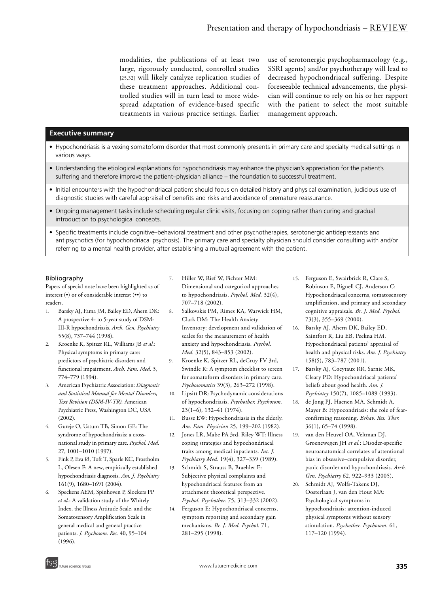modalities, the publications of at least two large, rigorously conducted, controlled studies [25,32] will likely catalyze replication studies of these treatment approaches. Additional controlled studies will in turn lead to more widespread adaptation of evidence-based specific treatments in various practice settings. Earlier

use of serotonergic psychopharmacology (e.g., SSRI agents) and/or psychotherapy will lead to decreased hypochondriacal suffering. Despite foreseeable technical advancements, the physician will continue to rely on his or her rapport with the patient to select the most suitable management approach.

## **Executive summary**

- Hypochondriasis is a vexing somatoform disorder that most commonly presents in primary care and specialty medical settings in various ways.
- Understanding the etiological explanations for hypochondriasis may enhance the physician's appreciation for the patient's suffering and therefore improve the patient–physician alliance – the foundation to successful treatment.
- Initial encounters with the hypochondriacal patient should focus on detailed history and physical examination, judicious use of diagnostic studies with careful appraisal of benefits and risks and avoidance of premature reassurance.
- Ongoing management tasks include scheduling regular clinic visits, focusing on coping rather than curing and gradual introduction to psychological concepts.
- Specific treatments include cognitive–behavioral treatment and other psychotherapies, serotonergic antidepressants and antipsychotics (for hypochondriacal psychosis). The primary care and specialty physician should consider consulting with and/or referring to a mental health provider, after establishing a mutual agreement with the patient.

#### Bibliography

Papers of special note have been highlighted as of interest (•) or of considerable interest (••) to readers.

- 1. Barsky AJ, Fama JM, Bailey ED, Ahern DK: A prospective 4- to 5-year study of DSM-III-R hypochondriasis. *Arch. Gen. Psychiatry* 55(8), 737–744 (1998).
- 2. Kroenke K, Spitzer RL, Williams JB *et al.*: Physical symptoms in primary care: predictors of psychiatric disorders and functional impairment. *Arch. Fam. Med.* 3, 774–779 (1994).
- 3. American Psychiatric Association: *Diagnostic and Statistical Manual for Mental Disorders, Text Revision (DSM-IV-TR).* American Psychiatric Press, Washington DC, USA (2002).
- 4. Gureje O, Ustum TB, Simon GE: The syndrome of hypochondriasis: a crossnational study in primary care. *Psychol. Med.* 27, 1001–1010 (1997).
- 5. Fink P, Eva Ø, Toft T, Sparle KC, Frostholm L, Olesen F: A new, empirically established hypochondriasis diagnosis. *Am. J. Psychiatry* 161(9), 1680–1691 (2004).
- 6. Speckens AEM, Spinhoven P, Sloekers PP *et al.*: A validation study of the Whitely Index, the Illness Attitude Scale, and the Somatosensory Amplification Scale in general medical and general practice patients. *J. Psychosom. Res.* 40, 95–104 (1996).
- 7. Hiller W, Rief W, Fichter MM: Dimensional and categorical approaches to hypochondriasis. *Psychol. Med.* 32(4), 707–718 (2002).
- 8. Salkovskis PM, Rimes KA, Warwick HM, Clark DM: The Health Anxiety Inventory: development and validation of scales for the measurement of health anxiety and hypochondriasis. *Psychol. Med.* 32(5), 843–853 (2002).
- 9. Kroenke K, Spitzer RL, deGruy FV 3rd, Swindle R: A symptom checklist to screen for somatoform disorders in primary care. *Psychosomatics* 39(3), 263–272 (1998).
- 10. Lipsitt DR: Psychodynamic considerations of hypochondriasis. *Psychother. Psychosom.* 23(1–6), 132–41 (1974).
- 11. Busse EW: Hypochondriasis in the elderly. *Am. Fam. Physician* 25, 199–202 (1982).
- 12. Jones LR, Mabe PA 3rd, Riley WT: Illness coping strategies and hypochondriacal traits among medical inpatients. *Int. J. Psychiatry Med.* 19(4), 327–339 (1989).
- 13. Schmidt S, Strauss B, Braehler E: Subjective physical complaints and hypochondriacal features from an attachment theoretical perspective. *Psychol. Psychother.* 75, 313–332 (2002).
- 14. Ferguson E: Hypochondriacal concerns, symptom reporting and secondary gain mechanisms. *Br. J. Med. Psychol.* 71, 281–295 (1998).
- 15. Ferguson E, Swairbrick R, Clare S, Robinson E, Bignell CJ, Anderson C: Hypochondriacal concerns, somatosensory amplification, and primary and secondary cognitive appraisals. *Br. J. Med. Psychol.* 73(3), 355–369 (2000).
- 16. Barsky AJ, Ahern DK, Bailey ED, Saintfort R, Liu EB, Peekna HM. Hypochondriacal patients' appraisal of health and physical risks. *Am. J. Psychiatry* 158(5), 783–787 (2001).
- 17. Barsky AJ, Coeytaux RR, Sarnie MK, Cleary PD: Hypochondriacal patients' beliefs about good health. *Am. J. Psychiatry* 150(7), 1085–1089 (1993).
- 18. de Jong PJ, Haenen MA, Schmidt A, Mayer B: Hypocondriasis: the role of fearconfirming reasoning. *Behav. Res. Ther.* 36(1), 65–74 (1998).
- 19. van den Heuvel OA, Veltman DJ, Groenewegen JH *et al.*: Disoder-specific neuroanatomical correlates of attentional bias in obsessive–compulsive disorder, panic disorder and hypochondriasis. *Arch. Gen. Psychiatry* 62, 922–933 (2005).
- 20. Schmidt AJ, Wolfs-Takens DJ, Oosterlaan J, van den Hout MA: Psychological symptoms in hypochondriasis: attention-induced physical symptoms without sensory stimulation. *Psychother. Psychosom.* 61, 117–120 (1994).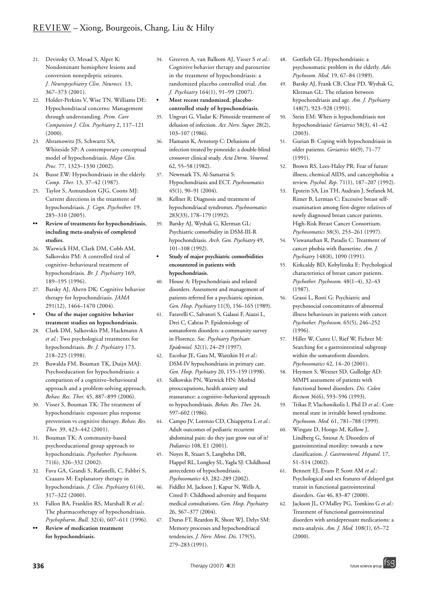- 21. Devinsky O, Mesad S, Alper K: Nondominant hemisphere lesions and conversion nonepileptic seizures. *J. Neuropsychiatry Clin. Neurosci.* 13, 367–373 (2001).
- 22. Holder-Perkins V, Wise TN, Williams DE: Hypochondriacal concerns: Management through understanding. *Prim. Care Companion J. Clin. Psychiatry* 2, 117–121 (2000).
- 23. Abramowitz JS, Schwartz SA, Whiteside SP: A contemporary conceptual model of hypochondriasis. *Mayo Clin. Proc.* 77, 1323–1330 (2002).
- 24. Busse EW: Hypochondriasis in the elderly. *Comp. Ther.* 13, 37–42 (1987).
- 25. Taylor S, Asmundson GJG, Coons MJ: Current directions in the treatment of hypochondriasis. *J. Cogn. Psychother.* 19, 285–310 (2005).
- **•• Review of treatments for hypochondriasis, including meta-analysis of completed studies.**
- 26. Warwick HM, Clark DM, Cobb AM, Salkovskis PM: A controlled tiral of cognitive–behavioural treatment of hypochondriasis. *Br. J. Psychiatry* 169, 189–195 (1996).
- 27. Barsky AJ, Ahern DK: Cognitive behavior therapy for hypochondriasis. *JAMA* 291(12), 1464–1470 (2004).
- **One of the major cognitive behavior treatment studies on hypochondriasis.**
- 28. Clark DM, Salkovskis PM, Hackmann A *et al.*: Two psychological treatments for hypochondriasis. *Br. J. Psychiatry* 173, 218–225 (1998).
- 29. Buwalda FM, Bouman TK, Duijn MAJ: Psychoeducation for hypochondriasis: a comparison of a cognitive–behavioural approach and a problem-solving approach. *Behav. Res. Ther.* 45, 887–899 (2006).
- 30. Visser S, Bouman TK: The treatment of hypochondriasis: exposure plus response prevention vs cognitive therapy. *Behav. Res. Ther.* 39, 423–442 (2001).
- 31. Bouman TK: A community-based psychoeducational group approach to hypochondriasis. *Psychother. Psychosom.* 71(6), 326–332 (2002).
- 32. Fava GA, Grandi S, Rafanelli, C, Fabbri S, Czaaaro M: Explanatory therapy in hypochondriasis. *J. Clin. Psychiatry* 61(4), 317–322 (2000).
- 33. Fallon BA, Franklin RS, Marshall R *et al.*: The pharmacotherapy of hypochondriasis. *Psychopharm. Bull.* 32(4), 607–611 (1996).
- **•• Review of medication treatment for hypochondriasis.**
- 34. Greeven A, van Balkom AJ, Visser S *et al.*: Cognitive behavior therapy and paroxetine in the treatment of hypochondriasis: a randomized placebo controlled trial. *Am. J. Psychiatry* 164(1), 91–99 (2007).
- **Most recent randomized, placebocontrolled study of hypochondriasis.**
- 35. Ungvari G, Vladar K: Pimozide treatment of delusion of infection. *Act. Nerv. Super.* 28(2), 103–107 (1986).
- 36. Hamann K, Avnstorp C: Delusions of infection treated by pimozide: a double-blind crossover clinical study. *Acta Derm. Venereol.* 62, 55–58 (1982).
- 37. Newmark TS, Al-Samarrai S: Hypochondriasis and ECT. *Psychosomatics* 45(1), 90–91 (2004).
- 38. Kellner R: Diagnosis and treatment of hypochondriacal syndromes. *Psychosomatics* 283(33), 178–179 (1992).
- 39. Barsky AJ, Wyshak G, Klerman GL: Psychiatric comorbidity in DSM-III-R hypochondriasis. *Arch. Gen. Psychiatry* 49, 101–108 (1992).
- **Study of major psychiatric comorbidities encountered in patients with hypochondriasis.**
- 40. House A: Hypochondriasis and related disorders. Assessment and management of patients referred for a psychiatric opinion. *Gen. Hosp. Psychiatry* 11(3), 156–165 (1989).
- 41. Faravelli C, Salvatori S, Galassi F, Aiazzi L, Drei C, Cabras P: Epidemiology of somatoform disorders: a community survey in Florence. *Soc. Psychiatry Psychiatr. Epidemiol.* 32(1), 24–29 (1997).
- 42. Escobar JE, Gara M, Waitzkin H *et al.*: DSM-IV hypochondriasis in primary care. *Gen. Hosp. Psychiatry* 20, 155–159 (1998).
- 43. Salkovskis PN, Warwick HN: Morbid preoccupations, health anxiety and reassurance: a cognitive–behavioral approach to hypochondriasis. *Behav. Res. Ther.* 24, 597–602 (1986).
- 44. Campo JV, Lorenzo CD, Chiappetta L *et al.*: Adult outcomes of pediatric recurrent abdominal pain: do they just grow out of it? *Pediatrics* 108, E1 (2001).
- 45. Noyes R, Stuart S, Langbehn DR, Happel RL, Longley SL, Yagla SJ: Childhood antecedents of hypochondriasis. *Psychosomatics* 43, 282–289 (2002).
- 46. Fiddler M, Jackson J, Kapur N, Wells A, Creed F: Childhood adversity and frequent medical consultations. *Gen. Hosp. Psychiatry* 26, 367–377 (2004).
- 47. Durso FT, Reardon R, Shore WJ, Delys SM: Memory processes and hypochondriacal tendencies. *J. Nerv. Ment. Dis.* 179(5), 279–283 (1991).
- 48. Gottlieb GL: Hypochondriasis: a psychosomatic problem in the elderly. *Adv. Psychosom. Med.* 19, 67–84 (1989).
- 49. Barsky AJ, Frank CB, Clear PD, Wyshak G, Klerman GL: The relation between hypochondriasis and age. *Am. J. Psychiatry* 148(7), 923–928 (1991).
- 50. Stein EM: When is hypochondriasis not hypochondriasis? *Geriatrics* 58(3), 41–42  $(2003)$
- 51. Gurian B: Coping with hypochondriasis in older patients. *Geriatrics* 46(9), 71–77 (1991).
- 52. Brown RS, Lees-Haley PR: Fear of future illness, chemical AIDS, and cancerphobia: a review. *Psychol. Rep.* 71(1), 187–207 (1992).
- 53. Epstein SA, Lin TH, Audrain J, Stefanek M, Rimer B, Lerman C: Excessive breast selfexamination among first-degree relatives of newly diagnosed breast cancer patients. High-Risk Breast Cancer Consortium. *Psychosomatics* 38(3), 253–261 (1997).
- 54. Viswanathan R, Paradis C: Treatment of cancer phobia with fluoxetine. *Am. J. Psychiatry* 148(8), 1090 (1991).
- 55. Kirkcaldy BD, Kobylinska E: Psychological characteristics of breast cancer patients. *Psychother. Psychosom.* 48(1–4), 32–43 (1987).
- 56. Grassi L, Rosti G: Psychiatric and psychosocial concomitants of abnormal illness behaviours in patients with cancer. *Psychother. Psychosom.* 65(5), 246–252 (1996).
- 57. Hiller W, Cuntz U, Rief W, Fichter M: Searching for a gastrointestinal subgroup within the somatoform disorders. *Psychosomatics* 42, 14–20 (2001).
- 58. Heymen S, Wexner SD, Gulledge AD: MMPI assessment of patients with functional bowel disorders. *Dis. Colon Rectum* 36(6), 593–596 (1993).
- 59. Trikas P, Vlachonikolis I, Phil D *et al.*: Core mental state in irritable bowel syndrome. *Psychosom. Med.* 61, 781–788 (1999).
- 60. Wingate D, Hongo M, Kellow J, Lindberg G, Smout A: Disorders of gastrointestinal motility: towards a new classification. *J. Gastroenterol. Hepatol.* 17, S1–S14 (2002).
- 61. Bennett EJ, Evans P, Scott AM *et al.*: Psychological and sex features of delayed gut transit in functional gastrointestinal disorders. *Gut* 46, 83–87 (2000).
- 62. Jackson JL, O'Malley PG, Tomkins G *et al.*: Treatment of functional gastrointestinal disorders with antidepressant medications: a meta-analysis. *Am. J. Med.* 108(1), 65–72 (2000).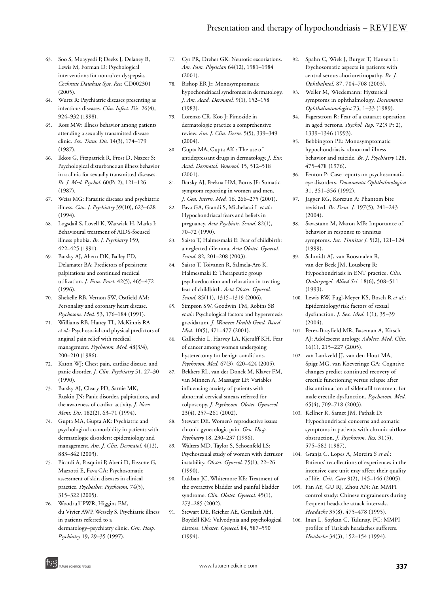- 63. Soo S, Moayyedi P, Deeks J, Delaney B, Lewis M, Forman D: Psychological interventions for non-ulcer dyspepsia. *Cochrane Database Syst. Rev.* CD002301 (2005).
- 64. Wurtz R: Psychiatric diseases presenting as infectious diseases. *Clin. Infect. Dis.* 26(4), 924–932 (1998).
- 65. Ross MW: Illness behavior among patients attending a sexually transmitted disease clinic. *Sex. Trans. Dis.* 14(3), 174–179 (1987).
- 66. Ikkos G, Fitzpatrick R, Frost D, Nazeer S: Psychological disturbance an illness behavior in a clinic for sexually transmitted diseases. *Br. J. Med. Psychol.* 60(Pt 2), 121–126 (1987).
- 67. Weiss MG: Parasitic diseases and psychiatric illness. *Can. J. Psychiatry* 39(10), 623–628 (1994).
- 68. Logsdail S, Lovell K, Warwick H, Marks I: Behavioural treatment of AIDS-focused illness phobia. *Br. J. Psychiatry* 159, 422–425 (1991).
- 69. Barsky AJ, Ahern DK, Bailey ED, Delamater BA: Predictors of persistent palpitations and continued medical utilization. *J. Fam. Pract.* 42(5), 465–472 (1996).
- 70. Shekelle RB, Vernon SW, Ostfield AM: Personality and coronary heart disease. *Psychosom. Med.* 53, 176–184 (1991).
- 71. Williams RB, Haney TL, McKinnis RA *et al.*: Psychosocial and physical predictors of anginal pain relief with medical management. *Psychosom. Med.* 48(3/4), 200–210 (1986).
- 72. Katon WJ: Chest pain, cardiac disease, and panic disorder. *J. Clin. Psychiatry* 51, 27–30 (1990).
- 73. Barsky AJ, Cleary PD, Sarnie MK, Ruskin JN: Panic disorder, palpitations, and the awareness of cardiac activity. *J. Nerv. Ment. Dis.* 182(2), 63–71 (1994).
- 74. Gupta MA, Gupta AK: Psychiatric and psychological co-morbidity in patients with dermatologic disorders: epidemiology and management. *Am. J. Clin. Dermatol.* 4(12), 883–842 (2003).
- 75. Picardi A, Pasquini P, Abeni D, Fassone G, Mazzotti E, Fava GA: Psychosomatic assessment of skin diseases in clinical practice. *Psychother. Psychosom.* 74(5), 315–322 (2005).
- 76. Woodruff PWR, Higgins EM, du Vivier AWP, Wessely S. Psychiatric illness in patients referred to a dermatology–psychiatry clinic. *Gen. Hosp. Psychiatry* 19, 29–35 (1997).
- 77. Cyr PR, Dreher GK: Neurotic excoriations. *Am. Fam. Physician* 64(12), 1981–1984 (2001).
- 78. Bishop ER Jr: Monosymptomatic hypochondriacal syndromes in dermatology. *J. Am. Acad. Dermatol.* 9(1), 152–158 (1983).
- 79. Lorenzo CR, Koo J: Pimozide in dermatologic practice a comprehensive review. *Am. J. Clin. Derm.* 5(5), 339–349  $(2004)$ .
- 80. Gupta MA, Gupta AK : The use of antidepressant drugs in dermatology. *J. Eur. Acad. Dermatol. Venereol.* 15, 512–518 (2001).
- 81. Barsky AJ, Peekna HM, Borus JF: Somatic symptom reporting in women and men. *J. Gen. Intern. Med.* 16, 266–275 (2001).
- 82. Fava GA, Grandi S, Michelacci L *et al.*: Hypochondriacal fears and beliefs in pregnancy. *Acta Psychiatr. Scand.* 82(1), 70–72 (1990).
- 83. Saisto T, Halmesmaki E: Fear of childbirth: a neglected dilemma. *Acta Obstet. Gynecol. Scand.* 82, 201–208 (2003).
- 84. Saisto T, Toivanen R, Salmela-Aro K, Halmesmaki E: Therapeutic group psychoeducation and relaxation in treating fear of childbirth. *Acta Obstet. Gynecol. Scand.* 85(11), 1315–1319 (2006).
- 85. Simpson SW, Goodwin TM, Robins SB *et al.*: Psychological factors and hyperemesis gravidarum. *J. Womens Health Gend. Based Med.* 10(5), 471–477 (2001).
- 86. Gallicchio L, Harvey LA, Kjerulff KH. Fear of cancer among women undergoing hysterectomy for benign conditions. *Psychosom. Med.* 67(3), 420–424 (2005).
- 87. Bekkers RL, van der Donck M, Klaver FM, van Minnen A, Massuger LF: Variables influencing anxiety of patients with abnormal cervical smears referred for colposcopy. *J. Psychosom. Obstet. Gynaecol.* 23(4), 257–261 (2002).
- 88. Stewart DE. Women's reproductive issues chronic gynecologic pain. *Gen. Hosp. Psychiatry* 18, 230–237 (1996).
- 89. Walters MD. Taylor S, Schoenfeld LS: Psychosexual study of women with detrusor instability. *Obstet. Gynecol.* 75(1), 22–26 (1990).
- Lukban JC, Whitemore KE: Treatment of the overactive bladder and painful bladder syndrome. *Clin. Obstet. Gynecol.* 45(1), 273–285 (2002).
- 91. Stewart DE, Reicher AE, Gerulath AH, Boydell KM: Vulvodynia and psychological distress. *Obestet. Gynecol.* 84, 587–590 (1994).
- 92. Spahn C, Wiek J, Burger T, Hansen L: Psychosomatic aspects in patients with central serous chorioretinopathy. *Br. J. Ophthalmol.* 87, 704–708 (2003).
- 93. Weller M, Wiedemann: Hysterical symptoms in ophthalmology. *Documenta Ophthalmamologica* 73, 1–33 (1989).
- 94. Fagerstrom R: Fear of a cataract operation in aged persons. *Psychol. Rep.* 72(3 Pt 2), 1339–1346 (1993).
- 95. Bebbington PE: Monosymptomatic hypochondriasis, abnormal illness behavior and suicide. *Br. J. Psychiatry* 128, 475–478 (1976).
- 96. Fenton P: Case reports on psychosomatic eye disorders. *Documenta Ophthalmologica* 31, 351–356 (1992).
- 97. Jagger RG, Korszun A: Phantom bite revisited. *Br. Dent. J.* 197(5), 241–243 (2004).
- 98. Savastano M, Maron MB: Importance of behavior in response to tinnitus symptoms. *Int. Tinnitus J.* 5(2), 121–124 (1999).
- 99. Schmidt AJ, van Roosmalen R, van der Beek JM, Lousberg R: Hypochondriasis in ENT practice. *Clin. Otolaryngol. Allied Sci.* 18(6), 508–511 (1993).
- 100. Lewis RW, Fugl-Meyer KS, Bosch R *et al.*: Epidemiology/risk factors of sexual dysfunction. *J. Sex. Med.* 1(1), 35–39  $(2004).$
- 101. Perez-Brayfield MR, Baseman A, Kirsch AJ: Adolescent urology. *Adolesc. Med. Clin.*  16(1), 215–227 (2005).
- 102. van Lankveld JJ, van den Hout MA, Spigt MG, van Koeveringe GA: Cogntive changes predict continued recovery of erectile functioning versus relapse after discontinuation of sildenafil treatment for male erectile dysfunction. *Psychosom. Med.* 65(4), 709–718 (2003).
- 103. Kellner R, Samet JM, Pathak D: Hypochondriacal concerns and somatic symptoms in patients with chronic airflow obstruction. *J. Psychosom. Res.* 31(5), 575–582 (1987).
- 104. Granja C, Lopes A, Moreira S *et al.*: Patients' recollections of experiences in the intensive care unit may affect their quality of life. *Crit. Care* 9(2), 145–146 (2005).
- 105. Fan AY, GU RJ, Zhou AN: An MMPI control study: Chinese migraineurs during frequent headache attack intervals. *Headache* 35(8), 475–478 (1995).
- 106. Inan L, Soykan C, Tulunay, FC: MMPI profiles of Turkish headaches sufferers. *Headache* 34(3), 152–154 (1994).